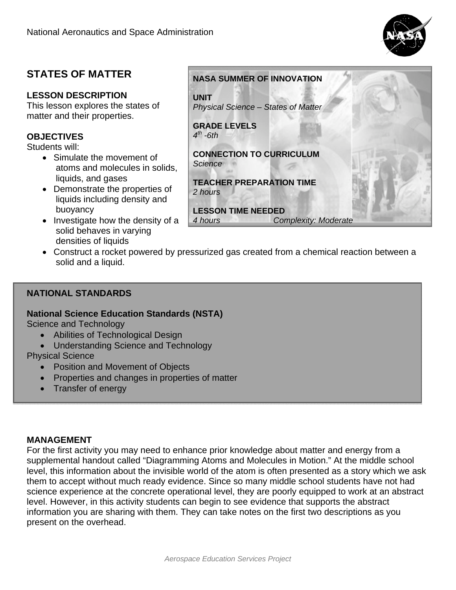

# **STATES OF MATTER**

## **LESSON DESCRIPTION**

This lesson explores the states of matter and their properties.

## **OBJECTIVES**

Students will:

- Simulate the movement of atoms and molecules in solids, liquids, and gases
- Demonstrate the properties of liquids including density and buoyancy
- $\bullet$  Investigate how the density of a solid behaves in varying densities of liquids
- Construct a rocket powered by pressurized gas created from a chemical reaction between a solid and a liquid.

## **NATIONAL STANDARDS**

## **National Science Education Standards (NSTA)**

Science and Technology

- Abilities of Technological Design
- Understanding Science and Technology

## Physical Science

- Position and Movement of Objects
- Properties and changes in properties of matter
- Transfer of energy

## **MANAGEMENT**

For the first activity you may need to enhance prior knowledge about matter and energy from a supplemental handout called "Diagramming Atoms and Molecules in Motion." At the middle school level, this information about the invisible world of the atom is often presented as a story which we ask them to accept without much ready evidence. Since so many middle school students have not had science experience at the concrete operational level, they are poorly equipped to work at an abstract level. However, in this activity students can begin to see evidence that supports the abstract information you are sharing with them. They can take notes on the first two descriptions as you present on the overhead.

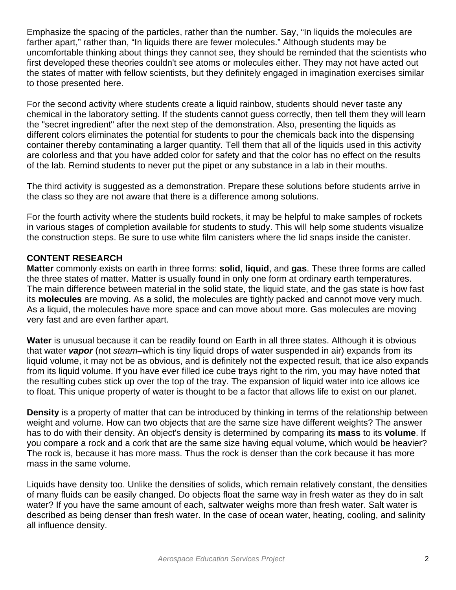Emphasize the spacing of the particles, rather than the number. Say, "In liquids the molecules are farther apart," rather than, "In liquids there are fewer molecules." Although students may be uncomfortable thinking about things they cannot see, they should be reminded that the scientists who first developed these theories couldn't see atoms or molecules either. They may not have acted out the states of matter with fellow scientists, but they definitely engaged in imagination exercises similar to those presented here.

For the second activity where students create a liquid rainbow, students should never taste any chemical in the laboratory setting. If the students cannot guess correctly, then tell them they will learn the "secret ingredient" after the next step of the demonstration. Also, presenting the liquids as different colors eliminates the potential for students to pour the chemicals back into the dispensing container thereby contaminating a larger quantity. Tell them that all of the liquids used in this activity are colorless and that you have added color for safety and that the color has no effect on the results of the lab. Remind students to never put the pipet or any substance in a lab in their mouths.

The third activity is suggested as a demonstration. Prepare these solutions before students arrive in the class so they are not aware that there is a difference among solutions.

For the fourth activity where the students build rockets, it may be helpful to make samples of rockets in various stages of completion available for students to study. This will help some students visualize the construction steps. Be sure to use white film canisters where the lid snaps inside the canister.

## **CONTENT RESEARCH**

**Matter** commonly exists on earth in three forms: **solid**, **liquid**, and **gas**. These three forms are called the three states of matter. Matter is usually found in only one form at ordinary earth temperatures. The main difference between material in the solid state, the liquid state, and the gas state is how fast its **molecules** are moving. As a solid, the molecules are tightly packed and cannot move very much. As a liquid, the molecules have more space and can move about more. Gas molecules are moving very fast and are even farther apart.

**Water** is unusual because it can be readily found on Earth in all three states. Although it is obvious that water *vapor* (not *steam*–which is tiny liquid drops of water suspended in air) expands from its liquid volume, it may not be as obvious, and is definitely not the expected result, that ice also expands from its liquid volume. If you have ever filled ice cube trays right to the rim, you may have noted that the resulting cubes stick up over the top of the tray. The expansion of liquid water into ice allows ice to float. This unique property of water is thought to be a factor that allows life to exist on our planet.

**Density** is a property of matter that can be introduced by thinking in terms of the relationship between weight and volume. How can two objects that are the same size have different weights? The answer has to do with their density. An object's density is determined by comparing its **mass** to its **volume**. If you compare a rock and a cork that are the same size having equal volume, which would be heavier? The rock is, because it has more mass. Thus the rock is denser than the cork because it has more mass in the same volume.

Liquids have density too. Unlike the densities of solids, which remain relatively constant, the densities of many fluids can be easily changed. Do objects float the same way in fresh water as they do in salt water? If you have the same amount of each, saltwater weighs more than fresh water. Salt water is described as being denser than fresh water. In the case of ocean water, heating, cooling, and salinity all influence density.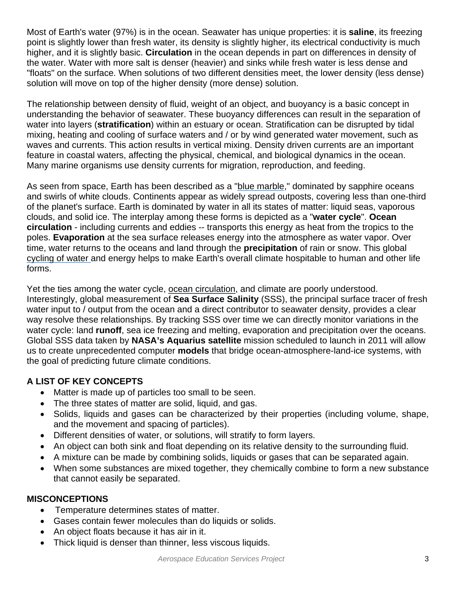Most of Earth's water (97%) is in the ocean. Seawater has unique properties: it is **saline**, its freezing point is slightly lower than fresh water, its density is slightly higher, its electrical conductivity is much higher, and it is slightly basic. **Circulation** in the ocean depends in part on differences in density of the water. Water with more salt is denser (heavier) and sinks while fresh water is less dense and "floats" on the surface. When solutions of two different densities meet, the lower density (less dense) solution will move on top of the higher density (more dense) solution.

The relationship between density of fluid, weight of an object, and buoyancy is a basic concept in understanding the behavior of seawater. These buoyancy differences can result in the separation of water into layers (**stratification**) within an estuary or ocean. Stratification can be disrupted by tidal mixing, heating and cooling of surface waters and / or by wind generated water movement, such as waves and currents. This action results in vertical mixing. Density driven currents are an important feature in coastal waters, affecting the physical, chemical, and biological dynamics in the ocean. Many marine organisms use density currents for migration, reproduction, and feeding.

As seen from space, Earth has been described as a "blue marble," dominated by sapphire oceans and swirls of white clouds. Continents appear as widely spread outposts, covering less than one-third of the planet's surface. Earth is dominated by water in all its states of matter: liquid seas, vaporous clouds, and solid ice. The interplay among these forms is depicted as a "**water cycle**". **Ocean circulation** - including currents and eddies -- transports this energy as heat from the tropics to the poles. **Evaporation** at the sea surface releases energy into the atmosphere as water vapor. Over time, water returns to the oceans and land through the **precipitation** of rain or snow. This global cycling of water and energy helps to make Earth's overall climate hospitable to human and other life forms.

Yet the ties among the water cycle, ocean circulation, and climate are poorly understood. Interestingly, global measurement of **Sea Surface Salinity** (SSS), the principal surface tracer of fresh water input to / output from the ocean and a direct contributor to seawater density, provides a clear way resolve these relationships. By tracking SSS over time we can directly monitor variations in the water cycle: land **runoff**, sea ice freezing and melting, evaporation and precipitation over the oceans. Global SSS data taken by **NASA's Aquarius satellite** mission scheduled to launch in 2011 will allow us to create unprecedented computer **models** that bridge ocean-atmosphere-land-ice systems, with the goal of predicting future climate conditions.

## **A LIST OF KEY CONCEPTS**

- Matter is made up of particles too small to be seen.
- The three states of matter are solid, liquid, and gas.
- Solids, liquids and gases can be characterized by their properties (including volume, shape, and the movement and spacing of particles).
- Different densities of water, or solutions, will stratify to form layers.
- An object can both sink and float depending on its relative density to the surrounding fluid.
- A mixture can be made by combining solids, liquids or gases that can be separated again.
- When some substances are mixed together, they chemically combine to form a new substance that cannot easily be separated.

## **MISCONCEPTIONS**

- Temperature determines states of matter.
- Gases contain fewer molecules than do liquids or solids.
- An object floats because it has air in it.
- Thick liquid is denser than thinner, less viscous liquids.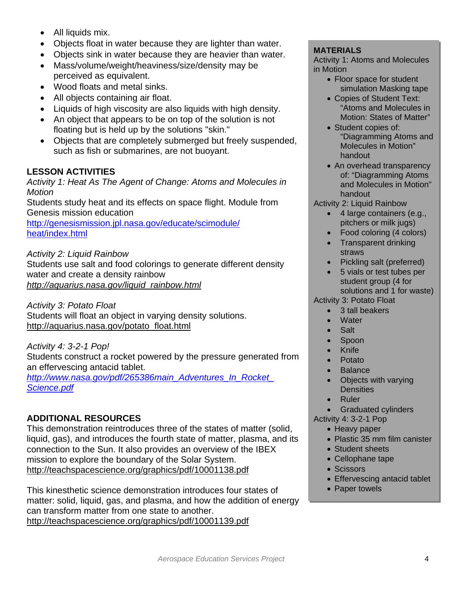- All liquids mix.
- Objects float in water because they are lighter than water.
- Objects sink in water because they are heavier than water.
- Mass/volume/weight/heaviness/size/density may be perceived as equivalent.
- Wood floats and metal sinks.
- All objects containing air float.
- Liquids of high viscosity are also liquids with high density.
- An object that appears to be on top of the solution is not floating but is held up by the solutions "skin."
- Objects that are completely submerged but freely suspended, such as fish or submarines, are not buoyant.

## **LESSON ACTIVITIES**

*Activity 1: Heat As The Agent of Change: Atoms and Molecules in Motion* 

Students study heat and its effects on space flight. Module from Genesis mission education

http://genesismission.jpl.nasa.gov/educate/scimodule/ heat/index.html

*Activity 2: Liquid Rainbow* 

Students use salt and food colorings to generate different density water and create a density rainbow *http://aquarius.nasa.gov/liquid\_rainbow.html* 

*Activity 3: Potato Float* 

Students will float an object in varying density solutions. http://aquarius.nasa.gov/potato\_float.html

*Activity 4: 3-2-1 Pop!* 

Students construct a rocket powered by the pressure generated from an effervescing antacid tablet.

*http://www.nasa.gov/pdf/265386main\_Adventures\_In\_Rocket\_ Science.pdf* 

## **ADDITIONAL RESOURCES**

http://teachspacescience.org/graphics/pdf/10001138.pdf This demonstration reintroduces three of the states of matter (solid, liquid, gas), and introduces the fourth state of matter, plasma, and its connection to the Sun. It also provides an overview of the IBEX mission to explore the boundary of the Solar System. **• Objects sink in water because they are heavier then water in the following a coupline.** MATERIALS perceived as equivalent, the most space of the Most of Microsoft Care in the Microsoft Care in the Unit of the Care in

http://teachspacescience.org/graphics/pdf/10001139.pdf This kinesthetic science demonstration introduces four states of matter: solid, liquid, gas, and plasma, and how the addition of energy can transform matter from one state to another.

Activity 1: Atoms and Molecules in Motion

- Floor space for student simulation Masking tape
- Copies of Student Text: "Atoms and Molecules in Motion: States of Matter"
- Student copies of: "Diagramming Atoms and Molecules in Motion" handout
- An overhead transparency of: "Diagramming Atoms and Molecules in Motion" handout
- Activity 2: Liquid Rainbow
	- 4 large containers (e.g., pitchers or milk jugs)
	- Food coloring (4 colors)
	- Transparent drinking straws
	- Pickling salt (preferred)
	- 5 vials or test tubes per student group (4 for solutions and 1 for waste)
- Activity 3: Potato Float
	- 3 tall beakers
	- **Water**
	- Salt
	- Spoon
	- Knife
	- Potato
	- **Balance**
	- Objects with varying **Densities**
	- Ruler
- Graduated cylinders Activity 4: 3-2-1 Pop
	- Heavy paper
		- Plastic 35 mm film canister
	- Student sheets
	- Cellophane tape
	- Scissors

wt.

- Effervescing antacid tablet
- Paper towels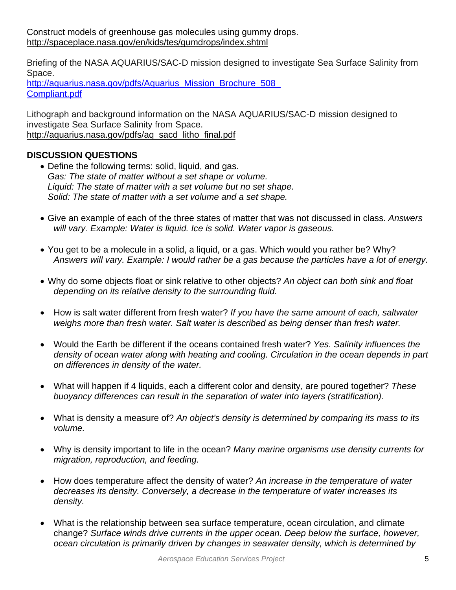Briefing of the NASA AQUARIUS/SAC-D mission designed to investigate Sea Surface Salinity from Space.

Compliant.pdf http://aquarius.nasa.gov/pdfs/Aquarius\_Mission\_Brochure\_508

Lithograph and background information on the NASA AQUARIUS/SAC-D mission designed to investigate Sea Surface Salinity from Space. http://aquarius.nasa.gov/pdfs/aq\_sacd\_litho\_final.pdf

## **DISCUSSION QUESTIONS**

- Define the following terms: solid, liquid, and gas. *Gas: The state of matter without a set shape or volume. Liquid: The state of matter with a set volume but no set shape. Solid: The state of matter with a set volume and a set shape.*
- Give an example of each of the three states of matter that was not discussed in class. *Answers will vary. Example: Water is liquid. Ice is solid. Water vapor is gaseous.*
- You get to be a molecule in a solid, a liquid, or a gas. Which would you rather be? Why? *Answers will vary. Example: I would rather be a gas because the particles have a lot of energy.*
- Why do some objects float or sink relative to other objects? *An object can both sink and float depending on its relative density to the surrounding fluid.*
- How is salt water different from fresh water? *If you have the same amount of each, saltwater weighs more than fresh water. Salt water is described as being denser than fresh water.*
- Would the Earth be different if the oceans contained fresh water? *Yes. Salinity influences the density of ocean water along with heating and cooling. Circulation in the ocean depends in part on differences in density of the water.*
- What will happen if 4 liquids, each a different color and density, are poured together? *These buoyancy differences can result in the separation of water into layers (stratification).*
- What is density a measure of? *An object's density is determined by comparing its mass to its volume.*
- Why is density important to life in the ocean? *Many marine organisms use density currents for migration, reproduction, and feeding.*
- How does temperature affect the density of water? *An increase in the temperature of water decreases its density. Conversely, a decrease in the temperature of water increases its density.*
- What is the relationship between sea surface temperature, ocean circulation, and climate change? *Surface winds drive currents in the upper ocean. Deep below the surface, however, ocean circulation is primarily driven by changes in seawater density, which is determined by*